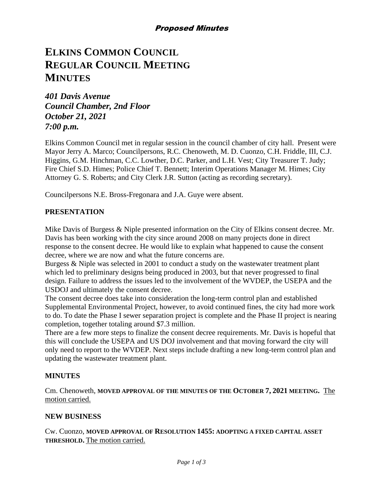# **ELKINS COMMON COUNCIL REGULAR COUNCIL MEETING MINUTES**

*401 Davis Avenue Council Chamber, 2nd Floor October 21, 2021 7:00 p.m.*

Elkins Common Council met in regular session in the council chamber of city hall. Present were Mayor Jerry A. Marco; Councilpersons, R.C. Chenoweth, M. D. Cuonzo, C.H. Friddle, III, C.J. Higgins, G.M. Hinchman, C.C. Lowther, D.C. Parker, and L.H. Vest; City Treasurer T. Judy; Fire Chief S.D. Himes; Police Chief T. Bennett; Interim Operations Manager M. Himes; City Attorney G. S. Roberts; and City Clerk J.R. Sutton (acting as recording secretary).

Councilpersons N.E. Bross-Fregonara and J.A. Guye were absent.

#### **PRESENTATION**

Mike Davis of Burgess & Niple presented information on the City of Elkins consent decree. Mr. Davis has been working with the city since around 2008 on many projects done in direct response to the consent decree. He would like to explain what happened to cause the consent decree, where we are now and what the future concerns are.

Burgess & Niple was selected in 2001 to conduct a study on the wastewater treatment plant which led to preliminary designs being produced in 2003, but that never progressed to final design. Failure to address the issues led to the involvement of the WVDEP, the USEPA and the USDOJ and ultimately the consent decree.

The consent decree does take into consideration the long-term control plan and established Supplemental Environmental Project, however, to avoid continued fines, the city had more work to do. To date the Phase I sewer separation project is complete and the Phase II project is nearing completion, together totaling around \$7.3 million.

There are a few more steps to finalize the consent decree requirements. Mr. Davis is hopeful that this will conclude the USEPA and US DOJ involvement and that moving forward the city will only need to report to the WVDEP. Next steps include drafting a new long-term control plan and updating the wastewater treatment plant.

# **MINUTES**

Cm. Chenoweth, **MOVED APPROVAL OF THE MINUTES OF THE OCTOBER 7, 2021 MEETING.** The motion carried.

#### **NEW BUSINESS**

Cw. Cuonzo, **MOVED APPROVAL OF RESOLUTION 1455: ADOPTING A FIXED CAPITAL ASSET THRESHOLD.** The motion carried.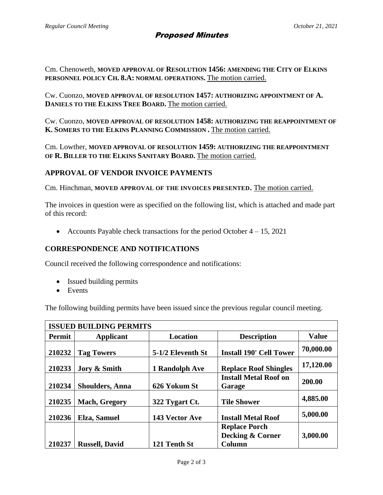# Proposed Minutes

Cm. Chenoweth, **MOVED APPROVAL OF RESOLUTION 1456: AMENDING THE CITY OF ELKINS PERSONNEL POLICY CH. 8.A: NORMAL OPERATIONS.** The motion carried.

Cw. Cuonzo, **MOVED APPROVAL OF RESOLUTION 1457: AUTHORIZING APPOINTMENT OF A. DANIELS TO THE ELKINS TREE BOARD.** The motion carried.

Cw. Cuonzo, **MOVED APPROVAL OF RESOLUTION 1458: AUTHORIZING THE REAPPOINTMENT OF K. SOMERS TO THE ELKINS PLANNING COMMISSION .** The motion carried.

Cm. Lowther, **MOVED APPROVAL OF RESOLUTION 1459: AUTHORIZING THE REAPPOINTMENT OF R. BILLER TO THE ELKINS SANITARY BOARD.** The motion carried.

# **APPROVAL OF VENDOR INVOICE PAYMENTS**

Cm. Hinchman, **MOVED APPROVAL OF THE INVOICES PRESENTED.** The motion carried.

The invoices in question were as specified on the following list, which is attached and made part of this record:

• Accounts Payable check transactions for the period October  $4 - 15$ , 2021

### **CORRESPONDENCE AND NOTIFICATIONS**

Council received the following correspondence and notifications:

- Issued building permits
- Events

The following building permits have been issued since the previous regular council meeting.

| <b>ISSUED BUILDING PERMITS</b> |                         |                       |                                                               |              |  |  |  |
|--------------------------------|-------------------------|-----------------------|---------------------------------------------------------------|--------------|--|--|--|
| <b>Permit</b>                  | <b>Applicant</b>        | <b>Location</b>       | <b>Description</b>                                            | <b>Value</b> |  |  |  |
| 210232                         | <b>Tag Towers</b>       | 5-1/2 Eleventh St     | <b>Install 190' Cell Tower</b>                                | 70,000.00    |  |  |  |
| 210233                         | <b>Jory &amp; Smith</b> | 1 Randolph Ave        | <b>Replace Roof Shingles</b>                                  | 17,120.00    |  |  |  |
| 210234                         | <b>Shoulders, Anna</b>  | 626 Yokum St          | <b>Install Metal Roof on</b><br>Garage                        | 200.00       |  |  |  |
| 210235                         | <b>Mach, Gregory</b>    | 322 Tygart Ct.        | <b>Tile Shower</b>                                            | 4,885.00     |  |  |  |
| 210236                         | Elza, Samuel            | <b>143 Vector Ave</b> | <b>Install Metal Roof</b>                                     | 5,000.00     |  |  |  |
| 210237                         | <b>Russell, David</b>   | 121 Tenth St          | <b>Replace Porch</b><br><b>Decking &amp; Corner</b><br>Column | 3,000.00     |  |  |  |